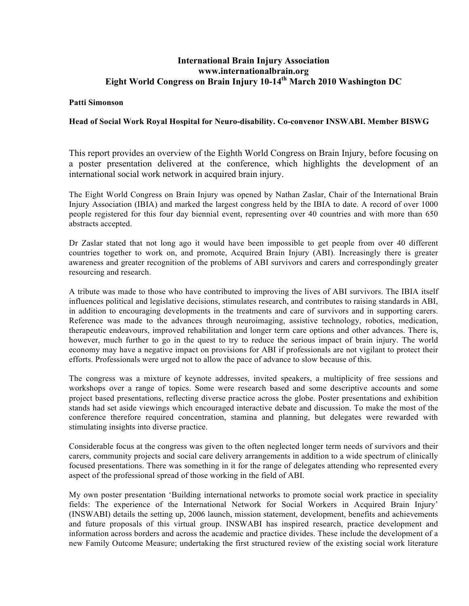## **International Brain Injury Association www.internationalbrain.org Eight World Congress on Brain Injury 10-14th March 2010 Washington DC**

## **Patti Simonson**

## **Head of Social Work Royal Hospital for Neuro-disability. Co-convenor INSWABI. Member BISWG**

This report provides an overview of the Eighth World Congress on Brain Injury, before focusing on a poster presentation delivered at the conference, which highlights the development of an international social work network in acquired brain injury.

The Eight World Congress on Brain Injury was opened by Nathan Zaslar, Chair of the International Brain Injury Association (IBIA) and marked the largest congress held by the IBIA to date. A record of over 1000 people registered for this four day biennial event, representing over 40 countries and with more than 650 abstracts accepted.

Dr Zaslar stated that not long ago it would have been impossible to get people from over 40 different countries together to work on, and promote, Acquired Brain Injury (ABI). Increasingly there is greater awareness and greater recognition of the problems of ABI survivors and carers and correspondingly greater resourcing and research.

A tribute was made to those who have contributed to improving the lives of ABI survivors. The IBIA itself influences political and legislative decisions, stimulates research, and contributes to raising standards in ABI, in addition to encouraging developments in the treatments and care of survivors and in supporting carers. Reference was made to the advances through neuroimaging, assistive technology, robotics, medication, therapeutic endeavours, improved rehabilitation and longer term care options and other advances. There is, however, much further to go in the quest to try to reduce the serious impact of brain injury. The world economy may have a negative impact on provisions for ABI if professionals are not vigilant to protect their efforts. Professionals were urged not to allow the pace of advance to slow because of this.

The congress was a mixture of keynote addresses, invited speakers, a multiplicity of free sessions and workshops over a range of topics. Some were research based and some descriptive accounts and some project based presentations, reflecting diverse practice across the globe. Poster presentations and exhibition stands had set aside viewings which encouraged interactive debate and discussion. To make the most of the conference therefore required concentration, stamina and planning, but delegates were rewarded with stimulating insights into diverse practice.

Considerable focus at the congress was given to the often neglected longer term needs of survivors and their carers, community projects and social care delivery arrangements in addition to a wide spectrum of clinically focused presentations. There was something in it for the range of delegates attending who represented every aspect of the professional spread of those working in the field of ABI.

My own poster presentation 'Building international networks to promote social work practice in speciality fields: The experience of the International Network for Social Workers in Acquired Brain Injury' (INSWABI) details the setting up, 2006 launch, mission statement, development, benefits and achievements and future proposals of this virtual group. INSWABI has inspired research, practice development and information across borders and across the academic and practice divides. These include the development of a new Family Outcome Measure; undertaking the first structured review of the existing social work literature